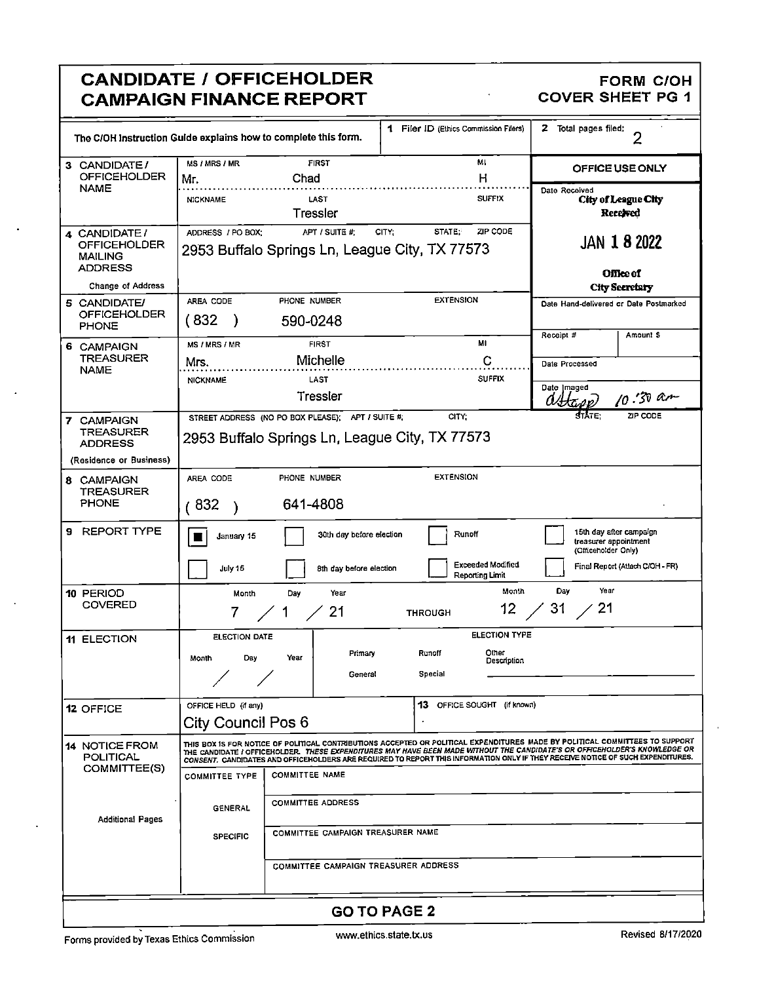#### **CANDIDATE / OFFICEHOLDER CAMPAIGN FINANCE REPORT**

# FORM C/OH<br>COVER SHEET PG 1

| The C/OH Instruction Guide explains how to complete this form. |                                                                                                                                                                                                                                                                                                                                                                                               |                                      | 1 Filer ID (Ethics Commission Filers) | <b>2</b> Total pages filed:<br>$\overline{2}$                           |  |  |  |  |  |
|----------------------------------------------------------------|-----------------------------------------------------------------------------------------------------------------------------------------------------------------------------------------------------------------------------------------------------------------------------------------------------------------------------------------------------------------------------------------------|--------------------------------------|---------------------------------------|-------------------------------------------------------------------------|--|--|--|--|--|
| 3 CANDIDATE/<br><b>OFFICEHOLDER</b>                            | MS / MRS / MR<br>Mr.                                                                                                                                                                                                                                                                                                                                                                          | <b>FIRST</b><br>Chad                 | MI<br>н                               | OFFICE USE ONLY                                                         |  |  |  |  |  |
| <b>NAME</b>                                                    | <b>NICKNAME</b>                                                                                                                                                                                                                                                                                                                                                                               | LAST<br>Tressler                     | <b>SUFFIX</b>                         | Date Received<br><b>City of League City</b><br>Received                 |  |  |  |  |  |
| 4 CANDIDATE/                                                   | ADDRESS / PO BOX:                                                                                                                                                                                                                                                                                                                                                                             | APT / SUITE #:                       | ZIP CODE<br>STATE:<br>CITY:           |                                                                         |  |  |  |  |  |
| OFFICEHOLDER<br><b>MAILING</b><br><b>ADDRESS</b>               | <b>JAN 1 8 2022</b><br>2953 Buffalo Springs Ln, League City, TX 77573<br>Office of                                                                                                                                                                                                                                                                                                            |                                      |                                       |                                                                         |  |  |  |  |  |
| <b>Change of Address</b>                                       |                                                                                                                                                                                                                                                                                                                                                                                               |                                      |                                       | <b>City Secretary</b>                                                   |  |  |  |  |  |
| 5 CANDIDATE/<br><b>OFFICEHOLDER</b><br><b>PHONE</b>            | AREA CODE<br>(832<br>J                                                                                                                                                                                                                                                                                                                                                                        | PHONE NUMBER<br>590-0248             | <b>EXTENSION</b>                      | Date Hand-delivered or Date Postmarked<br>Receipt #<br>Amount \$        |  |  |  |  |  |
| 6 CAMPAIGN                                                     | MS / MRS / MR                                                                                                                                                                                                                                                                                                                                                                                 | <b>FIRST</b>                         | MI                                    |                                                                         |  |  |  |  |  |
| <b>TREASURER</b>                                               | Mrs.                                                                                                                                                                                                                                                                                                                                                                                          | Michelle                             | C                                     | Date Processed                                                          |  |  |  |  |  |
| <b>NAME</b>                                                    | <b>NICKNAME</b>                                                                                                                                                                                                                                                                                                                                                                               | LAST                                 | <b>SUFFIX</b>                         |                                                                         |  |  |  |  |  |
|                                                                |                                                                                                                                                                                                                                                                                                                                                                                               | Tressler                             |                                       | Date Imaged<br>$10.30$ and<br>OHtop)                                    |  |  |  |  |  |
| 7 CAMPAIGN                                                     | зтіле.<br>ZIP CODE<br>CITY:<br>STREET ADDRESS (NO PO BOX PLEASE); APT / SUITE #;                                                                                                                                                                                                                                                                                                              |                                      |                                       |                                                                         |  |  |  |  |  |
| <b>TREASURER</b>                                               | 2953 Buffalo Springs Ln, League City, TX 77573                                                                                                                                                                                                                                                                                                                                                |                                      |                                       |                                                                         |  |  |  |  |  |
| <b>ADDRESS</b>                                                 |                                                                                                                                                                                                                                                                                                                                                                                               |                                      |                                       |                                                                         |  |  |  |  |  |
| (Residence or Business)                                        |                                                                                                                                                                                                                                                                                                                                                                                               |                                      |                                       |                                                                         |  |  |  |  |  |
| 8 CAMPAIGN                                                     | AREA CODE                                                                                                                                                                                                                                                                                                                                                                                     | PHONE NUMBER                         | <b>EXTENSION</b>                      |                                                                         |  |  |  |  |  |
| TREASURER                                                      |                                                                                                                                                                                                                                                                                                                                                                                               |                                      |                                       |                                                                         |  |  |  |  |  |
| <b>PHONE</b>                                                   | 641-4808<br>(832)                                                                                                                                                                                                                                                                                                                                                                             |                                      |                                       |                                                                         |  |  |  |  |  |
| 9 REPORT TYPE                                                  | January 15                                                                                                                                                                                                                                                                                                                                                                                    | 30th day before election             | Runoff                                | 15th day after campaign<br>treasurer appointment<br>(Officeholder Only) |  |  |  |  |  |
|                                                                | July 15                                                                                                                                                                                                                                                                                                                                                                                       | 8th day before election              | Exceeded Modified<br>Reporting Limit  | Final Report (Attach C/OH - FR)                                         |  |  |  |  |  |
| 10 PERIOD                                                      | Month                                                                                                                                                                                                                                                                                                                                                                                         | Year<br>Day                          | Month                                 | Year<br>Day                                                             |  |  |  |  |  |
| <b>COVERED</b>                                                 | 7.                                                                                                                                                                                                                                                                                                                                                                                            | 21<br>$\angle$ 1                     | $\frac{1}{2}$ 31 $\frac{1}{2}$ 21     |                                                                         |  |  |  |  |  |
|                                                                |                                                                                                                                                                                                                                                                                                                                                                                               |                                      |                                       |                                                                         |  |  |  |  |  |
| <b>11 ELECTION</b>                                             | ELECTION DATE                                                                                                                                                                                                                                                                                                                                                                                 |                                      | <b>ELECTION TYPE</b>                  |                                                                         |  |  |  |  |  |
|                                                                | Day<br>Month                                                                                                                                                                                                                                                                                                                                                                                  | Primary<br>Year                      | Runoff<br>Other                       |                                                                         |  |  |  |  |  |
|                                                                |                                                                                                                                                                                                                                                                                                                                                                                               | General                              | Description<br>Special                |                                                                         |  |  |  |  |  |
|                                                                |                                                                                                                                                                                                                                                                                                                                                                                               |                                      |                                       |                                                                         |  |  |  |  |  |
|                                                                |                                                                                                                                                                                                                                                                                                                                                                                               |                                      |                                       |                                                                         |  |  |  |  |  |
| 12 OFFICE                                                      | OFFICE HELD (if any)                                                                                                                                                                                                                                                                                                                                                                          |                                      | 13 OFFICE SOUGHT (if known)           |                                                                         |  |  |  |  |  |
|                                                                |                                                                                                                                                                                                                                                                                                                                                                                               | City Council Pos 6                   |                                       |                                                                         |  |  |  |  |  |
| <b>14 NOTICE FROM</b><br>POLITICAL                             | THIS BOX IS FOR NOTICE OF POLITICAL CONTRIBUTIONS ACCEPTED OR POLITICAL EXPENDITURES MADE BY POLITICAL COMMITTEES TO SUPPORT<br>THE CANDIDATE I OFFICEHOLDER. THESE EXPENDITURES MAY HAVE BEEN MADE WITHOUT THE CANDIDATE'S OR OFFICEHOLDER'S KNOWLEDGE OR<br>CONSENT, CANDIDATES AND OFFICEHOLDERS ARE REQUIRED TO REPORT THIS INFORMATION ONLY IF THEY RECEIVE NOTICE OF SUCH EXPENDITURES. |                                      |                                       |                                                                         |  |  |  |  |  |
| COMMITTEE(S)                                                   | <b>COMMITTEE NAME</b><br><b>COMMITTEE TYPE</b>                                                                                                                                                                                                                                                                                                                                                |                                      |                                       |                                                                         |  |  |  |  |  |
| Additional Pages                                               | <b>GENERAL</b>                                                                                                                                                                                                                                                                                                                                                                                | <b>COMMITTEE ADDRESS</b>             |                                       |                                                                         |  |  |  |  |  |
|                                                                | COMMITTEE CAMPAIGN TREASURER NAME<br><b>SPECIFIC</b>                                                                                                                                                                                                                                                                                                                                          |                                      |                                       |                                                                         |  |  |  |  |  |
|                                                                |                                                                                                                                                                                                                                                                                                                                                                                               | COMMITTEE CAMPAIGN TREASURER ADDRESS |                                       |                                                                         |  |  |  |  |  |
|                                                                |                                                                                                                                                                                                                                                                                                                                                                                               |                                      |                                       |                                                                         |  |  |  |  |  |
|                                                                |                                                                                                                                                                                                                                                                                                                                                                                               |                                      |                                       |                                                                         |  |  |  |  |  |
|                                                                |                                                                                                                                                                                                                                                                                                                                                                                               |                                      | <b>GO TO PAGE 2</b>                   |                                                                         |  |  |  |  |  |